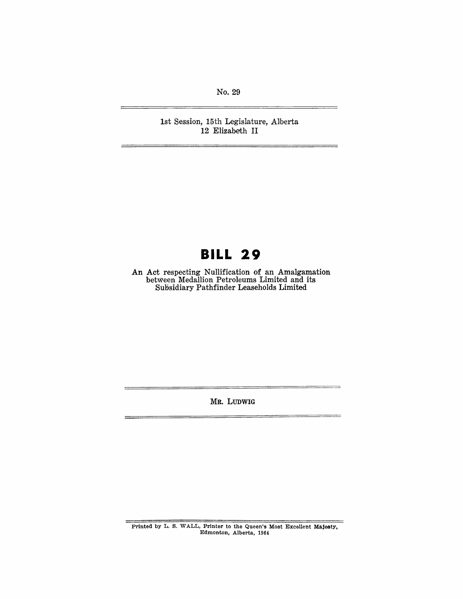No. 29

1st Session, 15th Legislature, Alberta 12 Elizabeth II

## **BILL 29**

An Act respecting Nullification of an Amalgamation between Medallion Petroleums Limited and its Subsidiary Pathfinder Leaseholds Limited

MR. LUDWIG

Printed by L. S. WALL, Printer to the Queen's Most Excellent Majesty, Edmonton, Alberta, 1964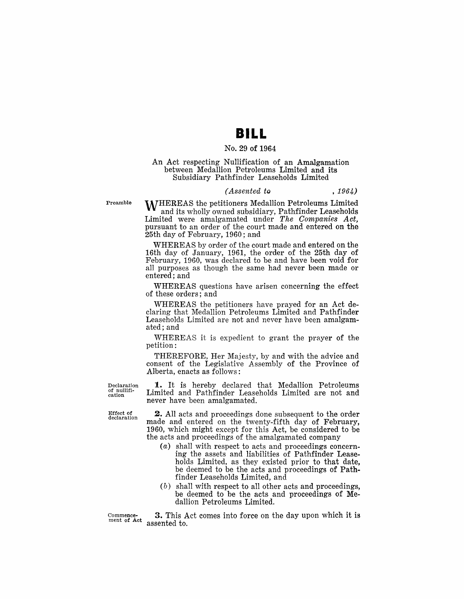## **BILL**

#### No. 29 of 1964

#### An Act respecting Nullification of an Amalgamation between Medallion Petroleums Limited and its Subsidiary Pathfinder Leaseholds Limited

#### *(Assented to* , 1964)

Preamble

WHEREAS the petitioners Medallion Petroleums Limited and its wholly owned subsidiary, Pathfinder Leaseholds Limited were amalgamated under *The Companies Act,*  pursuant to an order of the court made and entered on the 25th day of February, 1960; and

WHEREAS by order of the court made and entered on the 16th day of January, 1961, the order of the 25th day of February, 1960, was declared to be and have been void for all purposes as though the same had never been made or entered; and

WHEREAS questions have arisen concerning the effect of these orders; and

WHEREAS the petitioners have prayed for an Act declaring that Medallion Petroleums Limited and Pathfinder Leaseholds Limited are not and never have been amalgamated; and

WHEREAS it is expedient to grant the prayer of the petition:

THEREFORE, Her Majesty, by and with the advice and consent of the Legislative Assembly of the Province of Alberta, enacts as follows:

Declaration of nullifi-cation

1. It is hereby declared that Medallion Petroleums Limited and Pathfinder Leaseholds Limited are not and never have been amalgamated.

Effect of declaration

2. All acts and proceedings done subsequent to the order made and entered on the twenty-fifth day of February, 1960, which might except for this Act, be considered to be the acts and proceedings of the amalgamated company

- (a) shall with respect to acts and proceedings concerning the assets and liabilities of Pathfinder Leaseholds Limited, as they existed prior to that date, be deemed to be the acts and proceedings of Pathfinder Leaseholds Limited, and
- $(b)$  shall with respect to all other acts and proceedings, be deemed to be the acts and proceedings of Medallion Petroleums Limited.

Commencement of Act

3. This Act comes into force on the day upon which it is assented to.